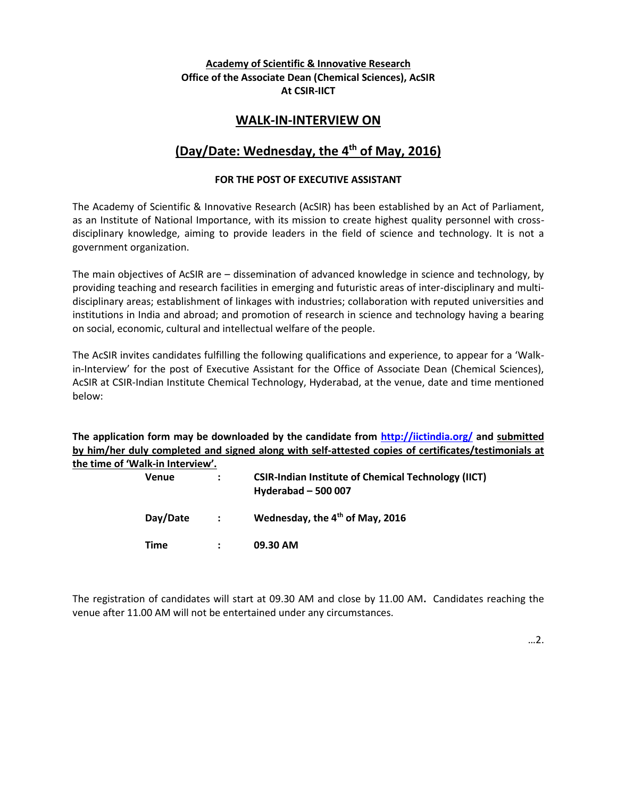## **Academy of Scientific & Innovative Research Office of the Associate Dean (Chemical Sciences), AcSIR At CSIR-IICT**

## **WALK-IN-INTERVIEW ON**

# **(Day/Date: Wednesday, the 4th of May, 2016)**

## **FOR THE POST OF EXECUTIVE ASSISTANT**

The Academy of Scientific & Innovative Research (AcSIR) has been established by an Act of Parliament, as an Institute of National Importance, with its mission to create highest quality personnel with crossdisciplinary knowledge, aiming to provide leaders in the field of science and technology. It is not a government organization.

The main objectives of AcSIR are – dissemination of advanced knowledge in science and technology, by providing teaching and research facilities in emerging and futuristic areas of inter-disciplinary and multidisciplinary areas; establishment of linkages with industries; collaboration with reputed universities and institutions in India and abroad; and promotion of research in science and technology having a bearing on social, economic, cultural and intellectual welfare of the people.

The AcSIR invites candidates fulfilling the following qualifications and experience, to appear for a 'Walkin-Interview' for the post of Executive Assistant for the Office of Associate Dean (Chemical Sciences), AcSIR at CSIR-Indian Institute Chemical Technology, Hyderabad, at the venue, date and time mentioned below:

**The application form may be downloaded by the candidate from<http://iictindia.org/> and submitted by him/her duly completed and signed along with self-attested copies of certificates/testimonials at the time of 'Walk-in Interview'.**

| Venue    |                      | <b>CSIR-Indian Institute of Chemical Technology (IICT)</b><br>Hyderabad - 500 007 |
|----------|----------------------|-----------------------------------------------------------------------------------|
| Day/Date | $\ddot{\phantom{a}}$ | Wednesday, the 4 <sup>th</sup> of May, 2016                                       |
| Time     |                      | 09.30 AM                                                                          |

The registration of candidates will start at 09.30 AM and close by 11.00 AM**.** Candidates reaching the venue after 11.00 AM will not be entertained under any circumstances.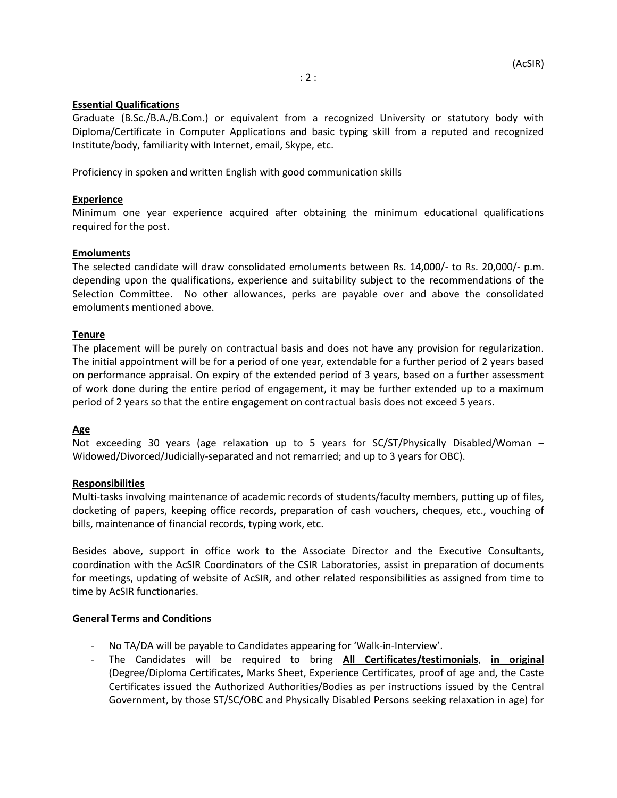#### **Essential Qualifications**

Graduate (B.Sc./B.A./B.Com.) or equivalent from a recognized University or statutory body with Diploma/Certificate in Computer Applications and basic typing skill from a reputed and recognized Institute/body, familiarity with Internet, email, Skype, etc.

Proficiency in spoken and written English with good communication skills

### **Experience**

Minimum one year experience acquired after obtaining the minimum educational qualifications required for the post.

#### **Emoluments**

The selected candidate will draw consolidated emoluments between Rs. 14,000/- to Rs. 20,000/- p.m. depending upon the qualifications, experience and suitability subject to the recommendations of the Selection Committee. No other allowances, perks are payable over and above the consolidated emoluments mentioned above.

#### **Tenure**

The placement will be purely on contractual basis and does not have any provision for regularization. The initial appointment will be for a period of one year, extendable for a further period of 2 years based on performance appraisal. On expiry of the extended period of 3 years, based on a further assessment of work done during the entire period of engagement, it may be further extended up to a maximum period of 2 years so that the entire engagement on contractual basis does not exceed 5 years.

## **Age**

Not exceeding 30 years (age relaxation up to 5 years for SC/ST/Physically Disabled/Woman – Widowed/Divorced/Judicially-separated and not remarried; and up to 3 years for OBC).

#### **Responsibilities**

Multi-tasks involving maintenance of academic records of students/faculty members, putting up of files, docketing of papers, keeping office records, preparation of cash vouchers, cheques, etc., vouching of bills, maintenance of financial records, typing work, etc.

Besides above, support in office work to the Associate Director and the Executive Consultants, coordination with the AcSIR Coordinators of the CSIR Laboratories, assist in preparation of documents for meetings, updating of website of AcSIR, and other related responsibilities as assigned from time to time by AcSIR functionaries.

## **General Terms and Conditions**

- No TA/DA will be payable to Candidates appearing for 'Walk-in-Interview'.
- The Candidates will be required to bring **All Certificates/testimonials**, **in original** (Degree/Diploma Certificates, Marks Sheet, Experience Certificates, proof of age and, the Caste Certificates issued the Authorized Authorities/Bodies as per instructions issued by the Central Government, by those ST/SC/OBC and Physically Disabled Persons seeking relaxation in age) for